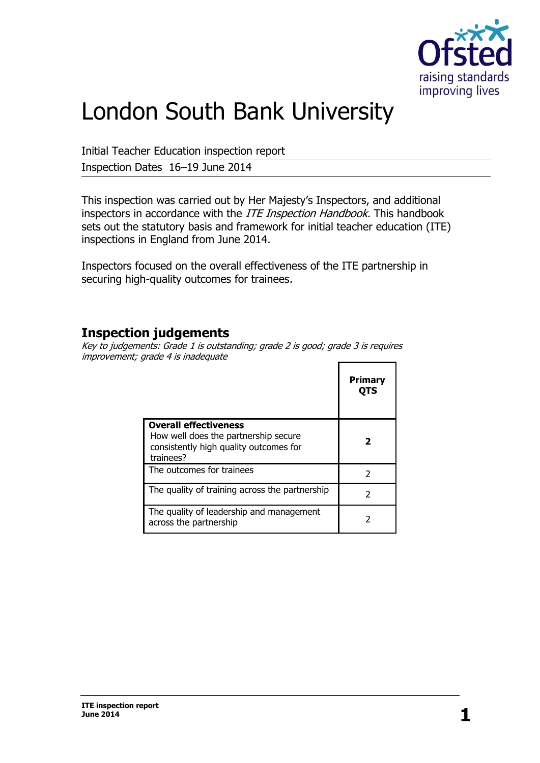

# London South Bank University

Initial Teacher Education inspection report

Inspection Dates 16–19 June 2014

This inspection was carried out by Her Majesty's Inspectors, and additional inspectors in accordance with the *ITE Inspection Handbook*. This handbook sets out the statutory basis and framework for initial teacher education (ITE) inspections in England from June 2014.

Inspectors focused on the overall effectiveness of the ITE partnership in securing high-quality outcomes for trainees.

### **Inspection judgements**

Key to judgements: Grade 1 is outstanding; grade 2 is good; grade 3 is requires improvement; grade 4 is inadequate  $\mathbf{r}$  $\blacksquare$ 

|                                                                                                                             | Primary<br>OTS |
|-----------------------------------------------------------------------------------------------------------------------------|----------------|
| <b>Overall effectiveness</b><br>How well does the partnership secure<br>consistently high quality outcomes for<br>trainees? |                |
| The outcomes for trainees                                                                                                   | 2              |
| The quality of training across the partnership                                                                              | 2              |
| The quality of leadership and management<br>across the partnership                                                          |                |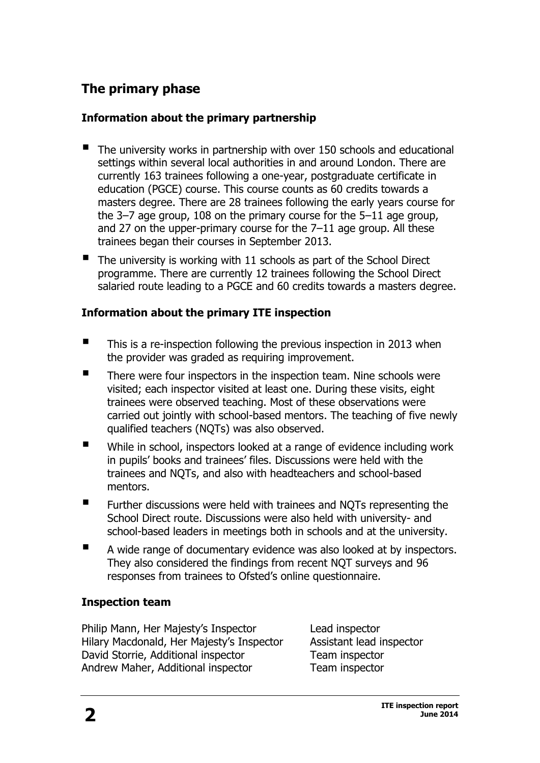## **The primary phase**

#### **Information about the primary partnership**

- The university works in partnership with over 150 schools and educational settings within several local authorities in and around London. There are currently 163 trainees following a one-year, postgraduate certificate in education (PGCE) course. This course counts as 60 credits towards a masters degree. There are 28 trainees following the early years course for the 3–7 age group, 108 on the primary course for the 5–11 age group, and 27 on the upper-primary course for the 7–11 age group. All these trainees began their courses in September 2013.
- $\blacksquare$  The university is working with 11 schools as part of the School Direct programme. There are currently 12 trainees following the School Direct salaried route leading to a PGCE and 60 credits towards a masters degree.

#### **Information about the primary ITE inspection**

- This is a re-inspection following the previous inspection in 2013 when the provider was graded as requiring improvement.
- There were four inspectors in the inspection team. Nine schools were visited; each inspector visited at least one. During these visits, eight trainees were observed teaching. Most of these observations were carried out jointly with school-based mentors. The teaching of five newly qualified teachers (NQTs) was also observed.
- While in school, inspectors looked at a range of evidence including work in pupils' books and trainees' files. Discussions were held with the trainees and NQTs, and also with headteachers and school-based mentors.
- **Further discussions were held with trainees and NOTs representing the** School Direct route. Discussions were also held with university- and school-based leaders in meetings both in schools and at the university.
- A wide range of documentary evidence was also looked at by inspectors. They also considered the findings from recent NQT surveys and 96 responses from trainees to Ofsted's online questionnaire.

#### **Inspection team**

Philip Mann, Her Majesty's Inspector Lead inspector Hilary Macdonald, Her Majesty's Inspector Assistant lead inspector David Storrie, Additional inspector Team inspector Andrew Maher, Additional inspector Team inspector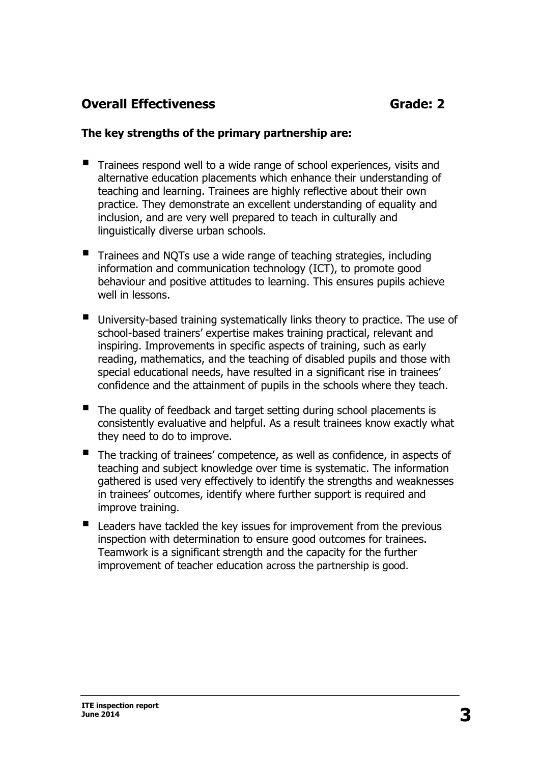## **Overall Effectiveness** Grade: 2

#### **The key strengths of the primary partnership are:**

- Trainees respond well to a wide range of school experiences, visits and alternative education placements which enhance their understanding of teaching and learning. Trainees are highly reflective about their own practice. They demonstrate an excellent understanding of equality and inclusion, and are very well prepared to teach in culturally and linguistically diverse urban schools.
- Trainees and NQTs use a wide range of teaching strategies, including information and communication technology (ICT), to promote good behaviour and positive attitudes to learning. This ensures pupils achieve well in lessons.
- University-based training systematically links theory to practice. The use of school-based trainers' expertise makes training practical, relevant and inspiring. Improvements in specific aspects of training, such as early reading, mathematics, and the teaching of disabled pupils and those with special educational needs, have resulted in a significant rise in trainees' confidence and the attainment of pupils in the schools where they teach.
- The quality of feedback and target setting during school placements is consistently evaluative and helpful. As a result trainees know exactly what they need to do to improve.
- The tracking of trainees' competence, as well as confidence, in aspects of teaching and subject knowledge over time is systematic. The information gathered is used very effectively to identify the strengths and weaknesses in trainees' outcomes, identify where further support is required and improve training.
- Leaders have tackled the key issues for improvement from the previous inspection with determination to ensure good outcomes for trainees. Teamwork is a significant strength and the capacity for the further improvement of teacher education across the partnership is good.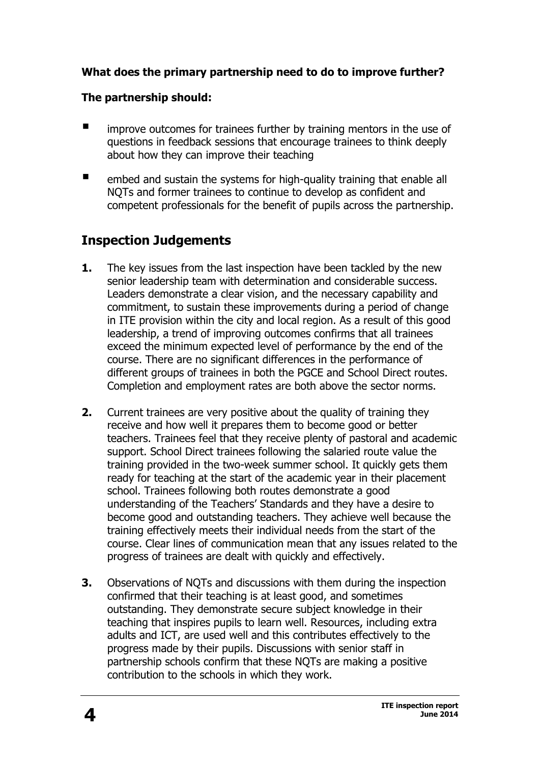#### **What does the primary partnership need to do to improve further?**

#### **The partnership should:**

- $\blacksquare$  improve outcomes for trainees further by training mentors in the use of questions in feedback sessions that encourage trainees to think deeply about how they can improve their teaching
- **E** embed and sustain the systems for high-quality training that enable all NQTs and former trainees to continue to develop as confident and competent professionals for the benefit of pupils across the partnership.

## **Inspection Judgements**

- **1.** The key issues from the last inspection have been tackled by the new senior leadership team with determination and considerable success. Leaders demonstrate a clear vision, and the necessary capability and commitment, to sustain these improvements during a period of change in ITE provision within the city and local region. As a result of this good leadership, a trend of improving outcomes confirms that all trainees exceed the minimum expected level of performance by the end of the course. There are no significant differences in the performance of different groups of trainees in both the PGCE and School Direct routes. Completion and employment rates are both above the sector norms.
- **2.** Current trainees are very positive about the quality of training they receive and how well it prepares them to become good or better teachers. Trainees feel that they receive plenty of pastoral and academic support. School Direct trainees following the salaried route value the training provided in the two-week summer school. It quickly gets them ready for teaching at the start of the academic year in their placement school. Trainees following both routes demonstrate a good understanding of the Teachers' Standards and they have a desire to become good and outstanding teachers. They achieve well because the training effectively meets their individual needs from the start of the course. Clear lines of communication mean that any issues related to the progress of trainees are dealt with quickly and effectively.
- **3.** Observations of NQTs and discussions with them during the inspection confirmed that their teaching is at least good, and sometimes outstanding. They demonstrate secure subject knowledge in their teaching that inspires pupils to learn well. Resources, including extra adults and ICT, are used well and this contributes effectively to the progress made by their pupils. Discussions with senior staff in partnership schools confirm that these NQTs are making a positive contribution to the schools in which they work.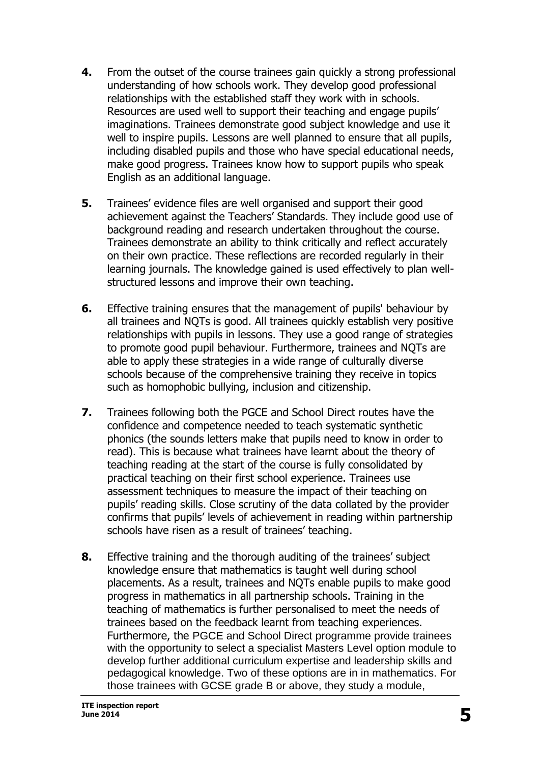- **4.** From the outset of the course trainees gain quickly a strong professional understanding of how schools work. They develop good professional relationships with the established staff they work with in schools. Resources are used well to support their teaching and engage pupils' imaginations. Trainees demonstrate good subject knowledge and use it well to inspire pupils. Lessons are well planned to ensure that all pupils, including disabled pupils and those who have special educational needs, make good progress. Trainees know how to support pupils who speak English as an additional language.
- **5.** Trainees' evidence files are well organised and support their good achievement against the Teachers' Standards. They include good use of background reading and research undertaken throughout the course. Trainees demonstrate an ability to think critically and reflect accurately on their own practice. These reflections are recorded regularly in their learning journals. The knowledge gained is used effectively to plan wellstructured lessons and improve their own teaching.
- **6.** Effective training ensures that the management of pupils' behaviour by all trainees and NQTs is good. All trainees quickly establish very positive relationships with pupils in lessons. They use a good range of strategies to promote good pupil behaviour. Furthermore, trainees and NQTs are able to apply these strategies in a wide range of culturally diverse schools because of the comprehensive training they receive in topics such as homophobic bullying, inclusion and citizenship.
- **7.** Trainees following both the PGCE and School Direct routes have the confidence and competence needed to teach systematic synthetic phonics (the sounds letters make that pupils need to know in order to read). This is because what trainees have learnt about the theory of teaching reading at the start of the course is fully consolidated by practical teaching on their first school experience. Trainees use assessment techniques to measure the impact of their teaching on pupils' reading skills. Close scrutiny of the data collated by the provider confirms that pupils' levels of achievement in reading within partnership schools have risen as a result of trainees' teaching.
- **8.** Effective training and the thorough auditing of the trainees' subject knowledge ensure that mathematics is taught well during school placements. As a result, trainees and NQTs enable pupils to make good progress in mathematics in all partnership schools. Training in the teaching of mathematics is further personalised to meet the needs of trainees based on the feedback learnt from teaching experiences. Furthermore, the PGCE and School Direct programme provide trainees with the opportunity to select a specialist Masters Level option module to develop further additional curriculum expertise and leadership skills and pedagogical knowledge. Two of these options are in in mathematics. For those trainees with GCSE grade B or above, they study a module,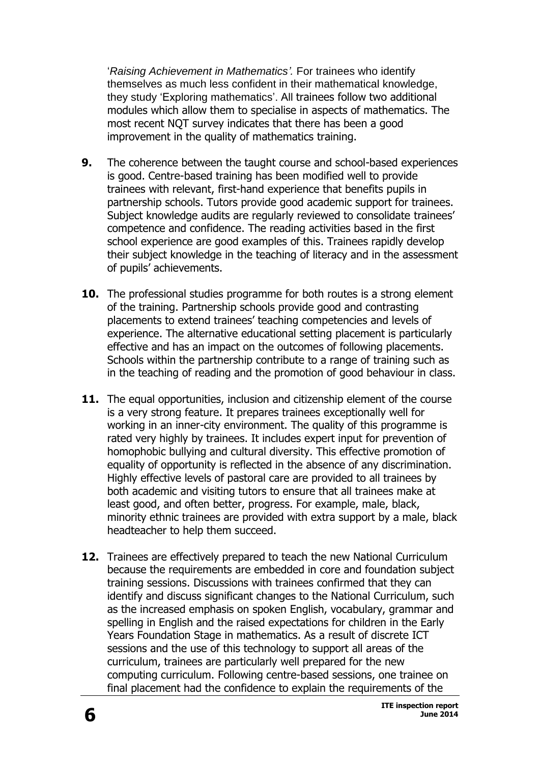'*Raising Achievement in Mathematics'.* For trainees who identify themselves as much less confident in their mathematical knowledge, they study 'Exploring mathematics'. All trainees follow two additional modules which allow them to specialise in aspects of mathematics. The most recent NQT survey indicates that there has been a good improvement in the quality of mathematics training.

- **9.** The coherence between the taught course and school-based experiences is good. Centre-based training has been modified well to provide trainees with relevant, first-hand experience that benefits pupils in partnership schools. Tutors provide good academic support for trainees. Subject knowledge audits are regularly reviewed to consolidate trainees' competence and confidence. The reading activities based in the first school experience are good examples of this. Trainees rapidly develop their subject knowledge in the teaching of literacy and in the assessment of pupils' achievements.
- **10.** The professional studies programme for both routes is a strong element of the training. Partnership schools provide good and contrasting placements to extend trainees' teaching competencies and levels of experience. The alternative educational setting placement is particularly effective and has an impact on the outcomes of following placements. Schools within the partnership contribute to a range of training such as in the teaching of reading and the promotion of good behaviour in class.
- **11.** The equal opportunities, inclusion and citizenship element of the course is a very strong feature. It prepares trainees exceptionally well for working in an inner-city environment. The quality of this programme is rated very highly by trainees. It includes expert input for prevention of homophobic bullying and cultural diversity. This effective promotion of equality of opportunity is reflected in the absence of any discrimination. Highly effective levels of pastoral care are provided to all trainees by both academic and visiting tutors to ensure that all trainees make at least good, and often better, progress. For example, male, black, minority ethnic trainees are provided with extra support by a male, black headteacher to help them succeed.
- **12.** Trainees are effectively prepared to teach the new National Curriculum because the requirements are embedded in core and foundation subject training sessions. Discussions with trainees confirmed that they can identify and discuss significant changes to the National Curriculum, such as the increased emphasis on spoken English, vocabulary, grammar and spelling in English and the raised expectations for children in the Early Years Foundation Stage in mathematics. As a result of discrete ICT sessions and the use of this technology to support all areas of the curriculum, trainees are particularly well prepared for the new computing curriculum. Following centre-based sessions, one trainee on final placement had the confidence to explain the requirements of the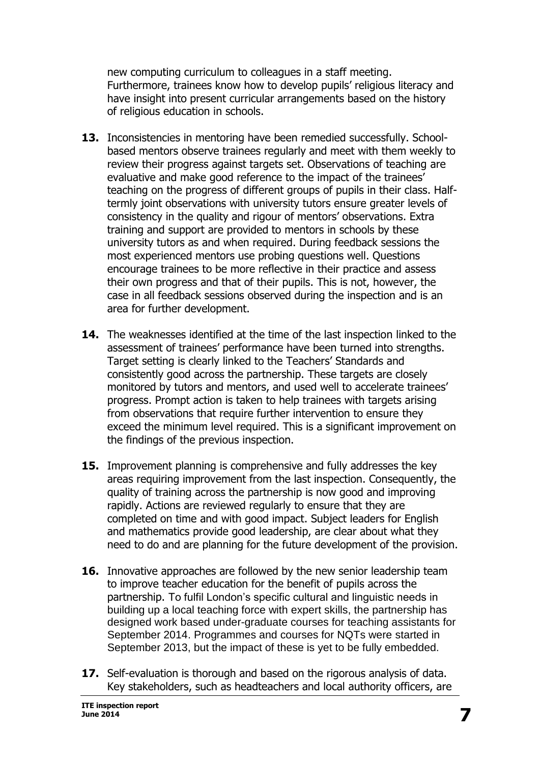new computing curriculum to colleagues in a staff meeting. Furthermore, trainees know how to develop pupils' religious literacy and have insight into present curricular arrangements based on the history of religious education in schools.

- **13.** Inconsistencies in mentoring have been remedied successfully. Schoolbased mentors observe trainees regularly and meet with them weekly to review their progress against targets set. Observations of teaching are evaluative and make good reference to the impact of the trainees' teaching on the progress of different groups of pupils in their class. Halftermly joint observations with university tutors ensure greater levels of consistency in the quality and rigour of mentors' observations. Extra training and support are provided to mentors in schools by these university tutors as and when required. During feedback sessions the most experienced mentors use probing questions well. Questions encourage trainees to be more reflective in their practice and assess their own progress and that of their pupils. This is not, however, the case in all feedback sessions observed during the inspection and is an area for further development.
- **14.** The weaknesses identified at the time of the last inspection linked to the assessment of trainees' performance have been turned into strengths. Target setting is clearly linked to the Teachers' Standards and consistently good across the partnership. These targets are closely monitored by tutors and mentors, and used well to accelerate trainees' progress. Prompt action is taken to help trainees with targets arising from observations that require further intervention to ensure they exceed the minimum level required. This is a significant improvement on the findings of the previous inspection.
- **15.** Improvement planning is comprehensive and fully addresses the key areas requiring improvement from the last inspection. Consequently, the quality of training across the partnership is now good and improving rapidly. Actions are reviewed regularly to ensure that they are completed on time and with good impact. Subject leaders for English and mathematics provide good leadership, are clear about what they need to do and are planning for the future development of the provision.
- **16.** Innovative approaches are followed by the new senior leadership team to improve teacher education for the benefit of pupils across the partnership. To fulfil London's specific cultural and linguistic needs in building up a local teaching force with expert skills, the partnership has designed work based under-graduate courses for teaching assistants for September 2014. Programmes and courses for NQTs were started in September 2013, but the impact of these is yet to be fully embedded.
- **17.** Self-evaluation is thorough and based on the rigorous analysis of data. Key stakeholders, such as headteachers and local authority officers, are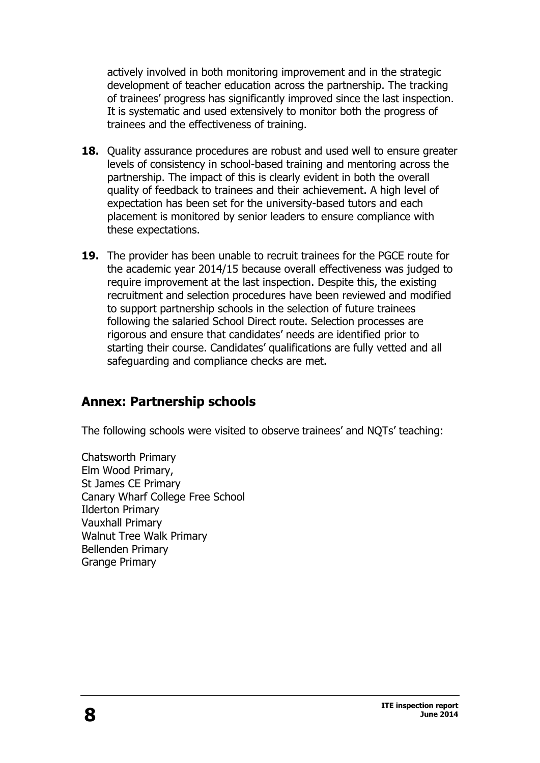actively involved in both monitoring improvement and in the strategic development of teacher education across the partnership. The tracking of trainees' progress has significantly improved since the last inspection. It is systematic and used extensively to monitor both the progress of trainees and the effectiveness of training.

- **18.** Quality assurance procedures are robust and used well to ensure greater levels of consistency in school-based training and mentoring across the partnership. The impact of this is clearly evident in both the overall quality of feedback to trainees and their achievement. A high level of expectation has been set for the university-based tutors and each placement is monitored by senior leaders to ensure compliance with these expectations.
- **19.** The provider has been unable to recruit trainees for the PGCE route for the academic year 2014/15 because overall effectiveness was judged to require improvement at the last inspection. Despite this, the existing recruitment and selection procedures have been reviewed and modified to support partnership schools in the selection of future trainees following the salaried School Direct route. Selection processes are rigorous and ensure that candidates' needs are identified prior to starting their course. Candidates' qualifications are fully vetted and all safeguarding and compliance checks are met.

## **Annex: Partnership schools**

The following schools were visited to observe trainees' and NQTs' teaching:

Chatsworth Primary Elm Wood Primary, St James CE Primary Canary Wharf College Free School Ilderton Primary Vauxhall Primary Walnut Tree Walk Primary Bellenden Primary Grange Primary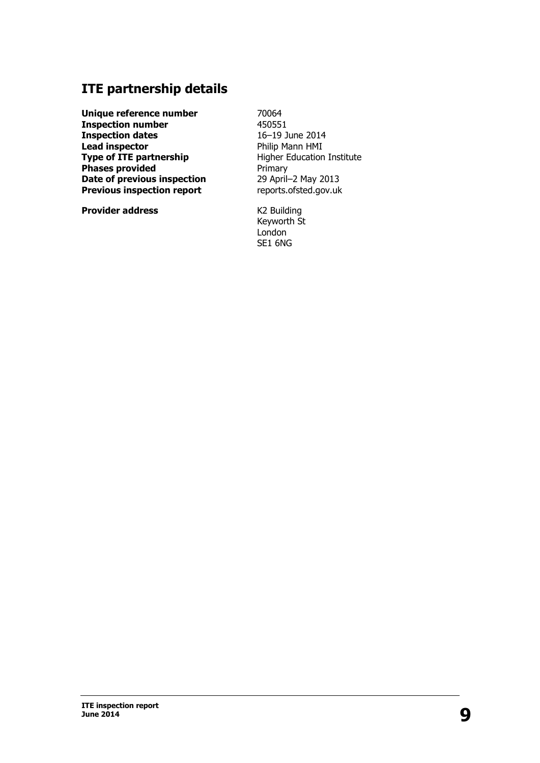## **ITE partnership details**

**Unique reference number Inspection number Inspection dates Lead inspector Type of ITE partnership Phases provided Date of previous inspection Previous inspection report**

**Provider address**

70064 450551 16–19 June 2014 Philip Mann HMI Higher Education Institute Primary 29 April–2 May 2013 [reports.ofsted.gov.uk](http://reports.ofsted.gov.uk)

K2 Building Keyworth St London SE1 6NG